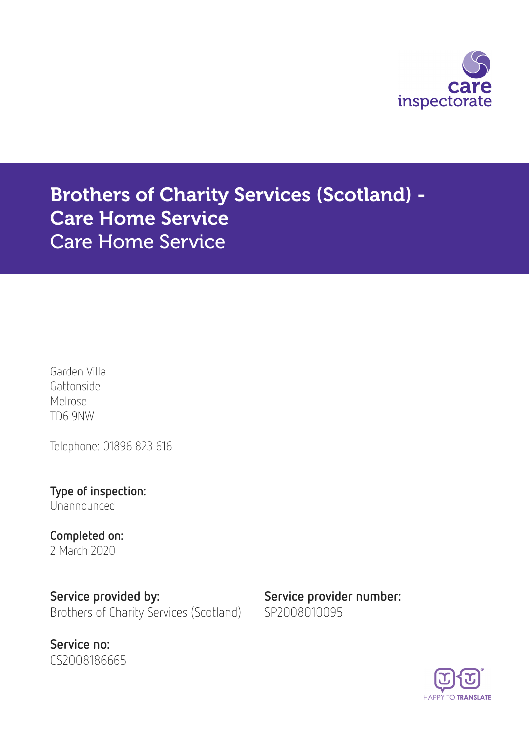

# Brothers of Charity Services (Scotland) - Care Home Service Care Home Service

Garden Villa Gattonside Melrose TD6 9NW

Telephone: 01896 823 616

Type of inspection: Unannounced

Completed on: 2 March 2020

Service provided by: Service provider number: Brothers of Charity Services (Scotland) SP2008010095



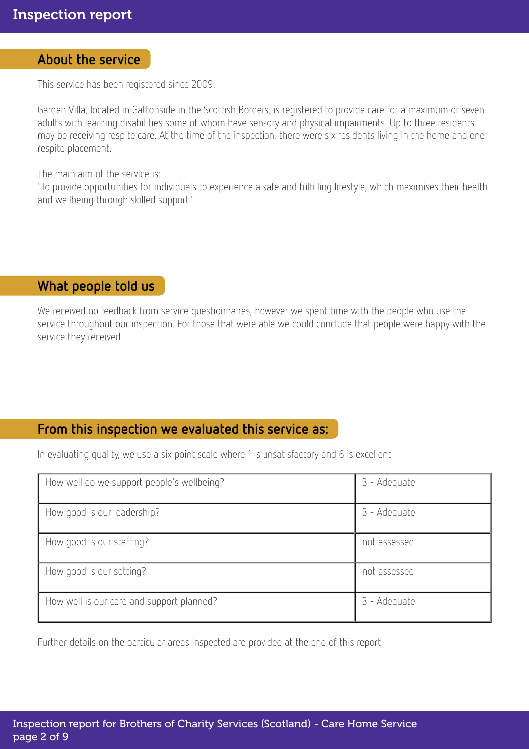## About the service

This service has been registered since 2009.

Garden Villa, located in Gattonside in the Scottish Borders, is registered to provide care for a maximum of seven adults with learning disabilities some of whom have sensory and physical impairments. Up to three residents may be receiving respite care. At the time of the inspection, there were six residents living in the home and one respite placement.

The main aim of the service is:

"To provide opportunities for individuals to experience a safe and fulfilling lifestyle, which maximises their health and wellbeing through skilled support"

### What people told us

We received no feedback from service questionnaires, however we spent time with the people who use the service throughout our inspection. For those that were able we could conclude that people were happy with the service they received

# From this inspection we evaluated this service as:

In evaluating quality, we use a six point scale where 1 is unsatisfactory and 6 is excellent

| How well do we support people's wellbeing? | 3 - Adequate |
|--------------------------------------------|--------------|
| How good is our leadership?                | 3 - Adequate |
| How good is our staffing?                  | not assessed |
| How good is our setting?                   | not assessed |
| How well is our care and support planned?  | 3 - Adequate |

Further details on the particular areas inspected are provided at the end of this report.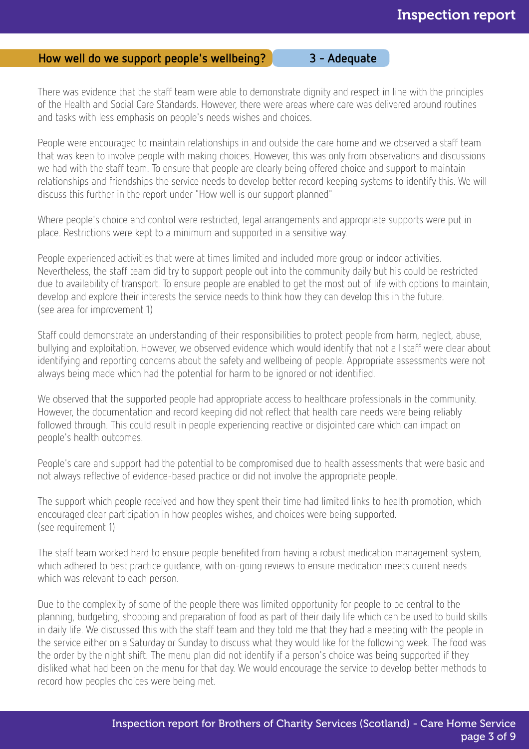# How well do we support people's wellbeing? 3 - Adequate

There was evidence that the staff team were able to demonstrate dignity and respect in line with the principles of the Health and Social Care Standards. However, there were areas where care was delivered around routines and tasks with less emphasis on people's needs wishes and choices.

People were encouraged to maintain relationships in and outside the care home and we observed a staff team that was keen to involve people with making choices. However, this was only from observations and discussions we had with the staff team. To ensure that people are clearly being offered choice and support to maintain relationships and friendships the service needs to develop better record keeping systems to identify this. We will discuss this further in the report under "How well is our support planned"

Where people's choice and control were restricted, legal arrangements and appropriate supports were put in place. Restrictions were kept to a minimum and supported in a sensitive way.

People experienced activities that were at times limited and included more group or indoor activities. Nevertheless, the staff team did try to support people out into the community daily but his could be restricted due to availability of transport. To ensure people are enabled to get the most out of life with options to maintain, develop and explore their interests the service needs to think how they can develop this in the future. (see area for improvement 1)

Staff could demonstrate an understanding of their responsibilities to protect people from harm, neglect, abuse, bullying and exploitation. However, we observed evidence which would identify that not all staff were clear about identifying and reporting concerns about the safety and wellbeing of people. Appropriate assessments were not always being made which had the potential for harm to be ignored or not identified.

We observed that the supported people had appropriate access to healthcare professionals in the community. However, the documentation and record keeping did not reflect that health care needs were being reliably followed through. This could result in people experiencing reactive or disjointed care which can impact on people's health outcomes.

People's care and support had the potential to be compromised due to health assessments that were basic and not always reflective of evidence-based practice or did not involve the appropriate people.

The support which people received and how they spent their time had limited links to health promotion, which encouraged clear participation in how peoples wishes, and choices were being supported. (see requirement 1)

The staff team worked hard to ensure people benefited from having a robust medication management system, which adhered to best practice guidance, with on-going reviews to ensure medication meets current needs which was relevant to each person.

Due to the complexity of some of the people there was limited opportunity for people to be central to the planning, budgeting, shopping and preparation of food as part of their daily life which can be used to build skills in daily life. We discussed this with the staff team and they told me that they had a meeting with the people in the service either on a Saturday or Sunday to discuss what they would like for the following week. The food was the order by the night shift. The menu plan did not identify if a person's choice was being supported if they disliked what had been on the menu for that day. We would encourage the service to develop better methods to record how peoples choices were being met.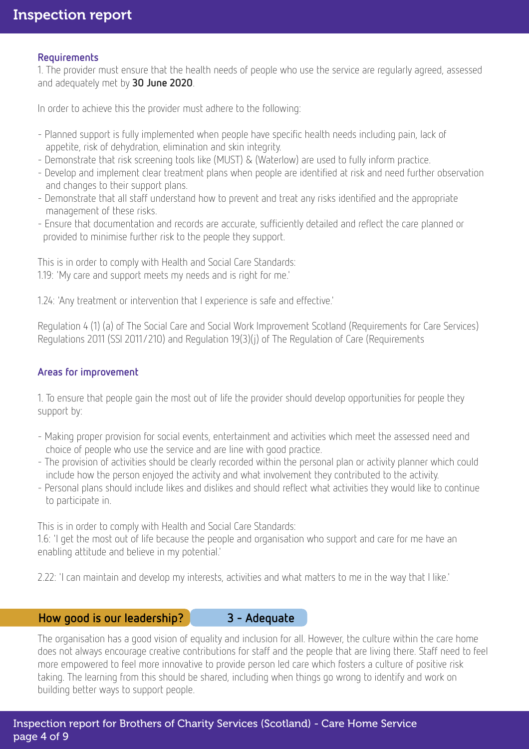#### **Requirements**

1. The provider must ensure that the health needs of people who use the service are regularly agreed, assessed and adequately met by 30 June 2020.

In order to achieve this the provider must adhere to the following:

- Planned support is fully implemented when people have specific health needs including pain, lack of appetite, risk of dehydration, elimination and skin integrity.
- Demonstrate that risk screening tools like (MUST) & (Waterlow) are used to fully inform practice.
- Develop and implement clear treatment plans when people are identified at risk and need further observation and changes to their support plans.
- Demonstrate that all staff understand how to prevent and treat any risks identified and the appropriate management of these risks.
- Ensure that documentation and records are accurate, sufficiently detailed and reflect the care planned or provided to minimise further risk to the people they support.

This is in order to comply with Health and Social Care Standards: 1.19: 'My care and support meets my needs and is right for me.'

1.24: 'Any treatment or intervention that I experience is safe and effective.'

Regulation 4 (1) (a) of The Social Care and Social Work Improvement Scotland (Requirements for Care Services) Regulations 2011 (SSI 2011/210) and Regulation 19(3)(j) of The Regulation of Care (Requirements

#### Areas for improvement

1. To ensure that people gain the most out of life the provider should develop opportunities for people they support by:

- Making proper provision for social events, entertainment and activities which meet the assessed need and choice of people who use the service and are line with good practice.
- The provision of activities should be clearly recorded within the personal plan or activity planner which could include how the person enjoyed the activity and what involvement they contributed to the activity.
- Personal plans should include likes and dislikes and should reflect what activities they would like to continue to participate in.

This is in order to comply with Health and Social Care Standards:

1.6: 'I get the most out of life because the people and organisation who support and care for me have an enabling attitude and believe in my potential.'

2.22: 'I can maintain and develop my interests, activities and what matters to me in the way that I like.'

#### How good is our leadership? 3 - Adequate

The organisation has a good vision of equality and inclusion for all. However, the culture within the care home does not always encourage creative contributions for staff and the people that are living there. Staff need to feel more empowered to feel more innovative to provide person led care which fosters a culture of positive risk taking. The learning from this should be shared, including when things go wrong to identify and work on building better ways to support people.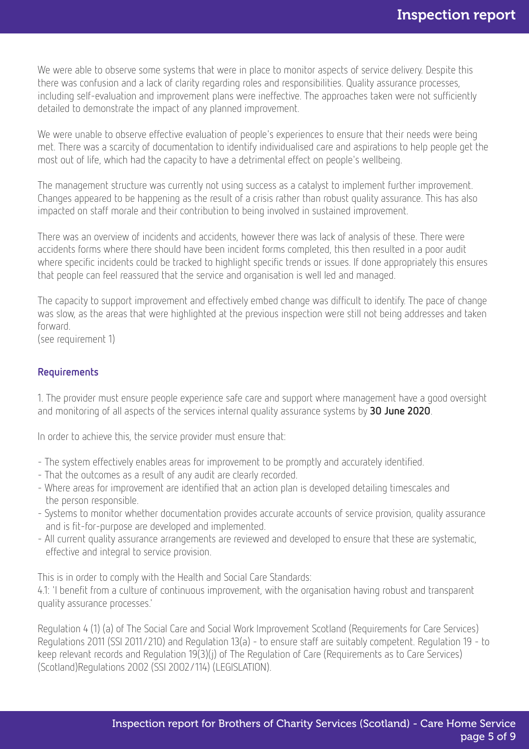We were able to observe some systems that were in place to monitor aspects of service delivery. Despite this there was confusion and a lack of clarity regarding roles and responsibilities. Quality assurance processes, including self-evaluation and improvement plans were ineffective. The approaches taken were not sufficiently detailed to demonstrate the impact of any planned improvement.

We were unable to observe effective evaluation of people's experiences to ensure that their needs were being met. There was a scarcity of documentation to identify individualised care and aspirations to help people get the most out of life, which had the capacity to have a detrimental effect on people's wellbeing.

The management structure was currently not using success as a catalyst to implement further improvement. Changes appeared to be happening as the result of a crisis rather than robust quality assurance. This has also impacted on staff morale and their contribution to being involved in sustained improvement.

There was an overview of incidents and accidents, however there was lack of analysis of these. There were accidents forms where there should have been incident forms completed, this then resulted in a poor audit where specific incidents could be tracked to highlight specific trends or issues. If done appropriately this ensures that people can feel reassured that the service and organisation is well led and managed.

The capacity to support improvement and effectively embed change was difficult to identify. The pace of change was slow, as the areas that were highlighted at the previous inspection were still not being addresses and taken forward.

(see requirement 1)

#### Requirements

1. The provider must ensure people experience safe care and support where management have a good oversight and monitoring of all aspects of the services internal quality assurance systems by 30 June 2020.

In order to achieve this, the service provider must ensure that:

- The system effectively enables areas for improvement to be promptly and accurately identified.
- That the outcomes as a result of any audit are clearly recorded.
- Where areas for improvement are identified that an action plan is developed detailing timescales and the person responsible.
- Systems to monitor whether documentation provides accurate accounts of service provision, quality assurance and is fit-for-purpose are developed and implemented.
- All current quality assurance arrangements are reviewed and developed to ensure that these are systematic, effective and integral to service provision.

This is in order to comply with the Health and Social Care Standards:

4.1: 'I benefit from a culture of continuous improvement, with the organisation having robust and transparent quality assurance processes.'

Regulation 4 (1) (a) of The Social Care and Social Work Improvement Scotland (Requirements for Care Services) Regulations 2011 (SSI 2011/210) and Regulation 13(a) - to ensure staff are suitably competent. Regulation 19 - to keep relevant records and Regulation 19(3)(j) of The Regulation of Care (Requirements as to Care Services) (Scotland)Regulations 2002 (SSI 2002/114) (LEGISLATION).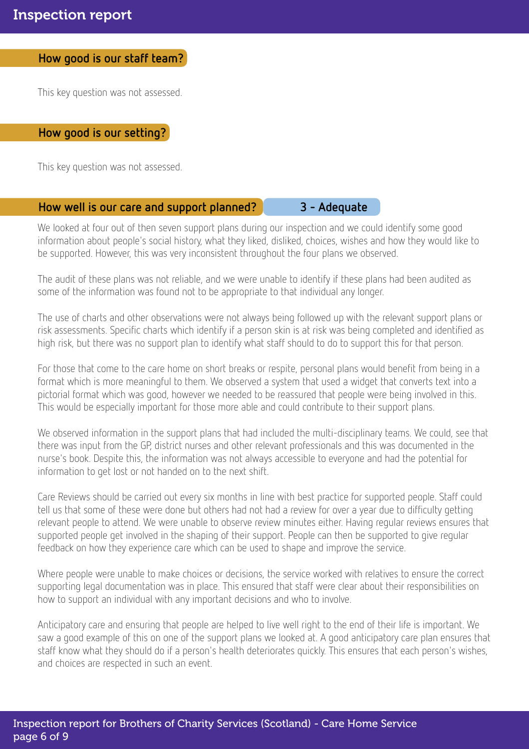### How good is our staff team?

This key question was not assessed.

### How good is our setting?

This key question was not assessed.

### How well is our care and support planned? 3 - Adequate

We looked at four out of then seven support plans during our inspection and we could identify some good information about people's social history, what they liked, disliked, choices, wishes and how they would like to be supported. However, this was very inconsistent throughout the four plans we observed.

The audit of these plans was not reliable, and we were unable to identify if these plans had been audited as some of the information was found not to be appropriate to that individual any longer.

The use of charts and other observations were not always being followed up with the relevant support plans or risk assessments. Specific charts which identify if a person skin is at risk was being completed and identified as high risk, but there was no support plan to identify what staff should to do to support this for that person.

For those that come to the care home on short breaks or respite, personal plans would benefit from being in a format which is more meaningful to them. We observed a system that used a widget that converts text into a pictorial format which was good, however we needed to be reassured that people were being involved in this. This would be especially important for those more able and could contribute to their support plans.

We observed information in the support plans that had included the multi-disciplinary teams. We could, see that there was input from the GP, district nurses and other relevant professionals and this was documented in the nurse's book. Despite this, the information was not always accessible to everyone and had the potential for information to get lost or not handed on to the next shift.

Care Reviews should be carried out every six months in line with best practice for supported people. Staff could tell us that some of these were done but others had not had a review for over a year due to difficulty getting relevant people to attend. We were unable to observe review minutes either. Having regular reviews ensures that supported people get involved in the shaping of their support. People can then be supported to give regular feedback on how they experience care which can be used to shape and improve the service.

Where people were unable to make choices or decisions, the service worked with relatives to ensure the correct supporting legal documentation was in place. This ensured that staff were clear about their responsibilities on how to support an individual with any important decisions and who to involve.

Anticipatory care and ensuring that people are helped to live well right to the end of their life is important. We saw a good example of this on one of the support plans we looked at. A good anticipatory care plan ensures that staff know what they should do if a person's health deteriorates quickly. This ensures that each person's wishes, and choices are respected in such an event.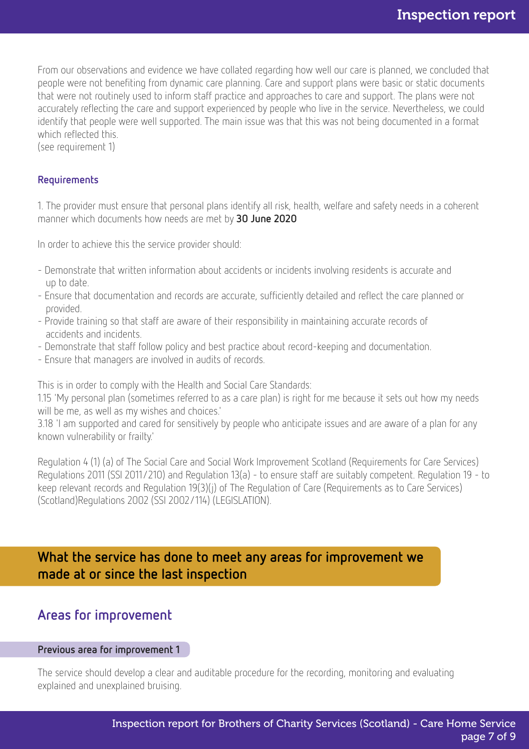From our observations and evidence we have collated regarding how well our care is planned, we concluded that people were not benefiting from dynamic care planning. Care and support plans were basic or static documents that were not routinely used to inform staff practice and approaches to care and support. The plans were not accurately reflecting the care and support experienced by people who live in the service. Nevertheless, we could identify that people were well supported. The main issue was that this was not being documented in a format which reflected this.

(see requirement 1)

#### Requirements

1. The provider must ensure that personal plans identify all risk, health, welfare and safety needs in a coherent manner which documents how needs are met by 30 June 2020

In order to achieve this the service provider should:

- Demonstrate that written information about accidents or incidents involving residents is accurate and up to date.
- Ensure that documentation and records are accurate, sufficiently detailed and reflect the care planned or provided.
- Provide training so that staff are aware of their responsibility in maintaining accurate records of accidents and incidents.
- Demonstrate that staff follow policy and best practice about record-keeping and documentation.
- Ensure that managers are involved in audits of records.

This is in order to comply with the Health and Social Care Standards:

1.15 'My personal plan (sometimes referred to as a care plan) is right for me because it sets out how my needs will be me, as well as my wishes and choices.'

3.18 'I am supported and cared for sensitively by people who anticipate issues and are aware of a plan for any known vulnerability or frailty.'

Regulation 4 (1) (a) of The Social Care and Social Work Improvement Scotland (Requirements for Care Services) Regulations 2011 (SSI 2011/210) and Regulation 13(a) - to ensure staff are suitably competent. Regulation 19 - to keep relevant records and Regulation 19(3)(j) of The Regulation of Care (Requirements as to Care Services) (Scotland)Regulations 2002 (SSI 2002/114) (LEGISLATION).

What the service has done to meet any areas for improvement we made at or since the last inspection

# Areas for improvement

#### Previous area for improvement 1

The service should develop a clear and auditable procedure for the recording, monitoring and evaluating explained and unexplained bruising.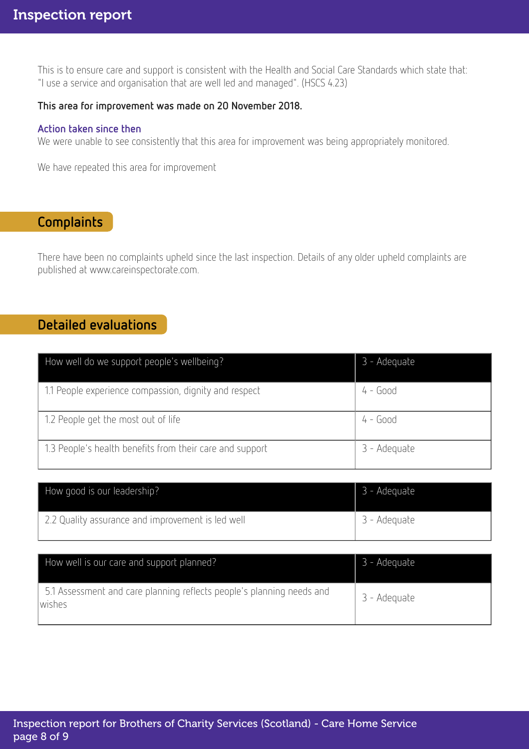This is to ensure care and support is consistent with the Health and Social Care Standards which state that: "I use a service and organisation that are well led and managed". (HSCS 4.23)

#### This area for improvement was made on 20 November 2018.

#### Action taken since then

We were unable to see consistently that this area for improvement was being appropriately monitored.

We have repeated this area for improvement

# **Complaints**

There have been no complaints upheld since the last inspection. Details of any older upheld complaints are published at www.careinspectorate.com.

# Detailed evaluations

| How well do we support people's wellbeing?               | 3 - Adequate |
|----------------------------------------------------------|--------------|
| 1.1 People experience compassion, dignity and respect    | $4 - Good$   |
| 1.2 People get the most out of life                      | $4 - Good$   |
| 1.3 People's health benefits from their care and support | 3 - Adequate |

| How good is our leadership?                       | 3 - Adequate |
|---------------------------------------------------|--------------|
| 2.2 Quality assurance and improvement is led well | 3 - Adeguate |

| How well is our care and support planned?                                       | 3 - Adequate |
|---------------------------------------------------------------------------------|--------------|
| 5.1 Assessment and care planning reflects people's planning needs and<br>wishes | 3 - Adequate |